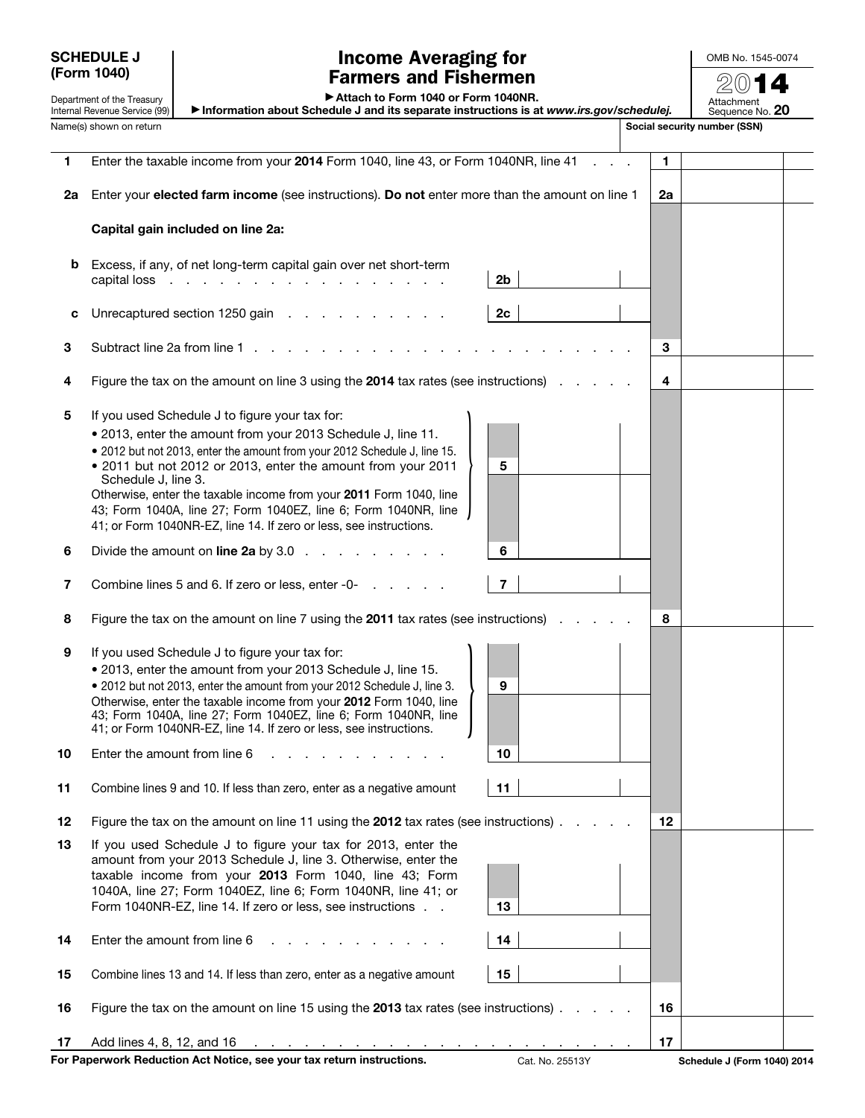SCHEDULE J (Form 1040)

Department of the Treasury Internal Revenue Service (99)

## Income Averaging for Farmers and Fishermen

OMB No. 1545-0074 2014

▶ Attach to Form 1040 or Form 1040NR.

▶ Information about Schedule J and its separate instructions is at *www.irs.gov/schedulej.* Attachment Sequence No. 20

Name(s) shown on return structure of the structure of the structure of the structure of the social security number (SSN) 1 Enter the taxable income from your 2014 Form 1040, line 43, or Form 1040NR, line 41 . . . 1 2a Enter your elected farm income (see instructions). Do not enter more than the amount on line  $1 \mid 2a$ Capital gain included on line 2a: b Excess, if any, of net long-term capital gain over net short-term capital loss  $\ldots$  . . . . . . . . . . . . . . . . . 2b c Unrecaptured section 1250 gain  $\ldots$  . . . . . . . . 2c 3 Subtract line 2a from line 1 . . . . . . . . . . . . . . . . . . . . . . . 3 4 Figure the tax on the amount on line 3 using the 2014 tax rates (see instructions)  $\ldots$  .  $\vert 4$ 5 If you used Schedule J to figure your tax for: • 2013, enter the amount from your 2013 Schedule J, line 11. • 2012 but not 2013, enter the amount from your 2012 Schedule J, line 15. • 2011 but not 2012 or 2013, enter the amount from your 2011 Schedule J, line 3. Otherwise, enter the taxable income from your 2011 Form 1040, line 43; Form 1040A, line 27; Form 1040EZ, line 6; Form 1040NR, line 41; or Form 1040NR-EZ, line 14. If zero or less, see instructions.  $\begin{array}{|c|c|c|c|c|}\hline \rule{0pt}{12pt} & \rule{0pt}{2pt} \multicolumn{1}{|c|}{5} \\\hline \rule{0pt}{12pt} & \rule{0pt}{2pt} \multicolumn{1}{|c|}{5} \\\hline \rule{0pt}{12pt} & \rule{0pt}{2pt} \multicolumn{1}{|c|}{5} \\\hline \rule{0pt}{12pt} & \rule{0pt}{2pt} \multicolumn{1}{|c|}{5} \\\hline \rule{0pt}{12pt} & \rule{0pt}{2pt} \multicolumn{1}{|c|}{5} \\\hline \rule{0pt}{12pt} & \rule{0pt$ 6 Divide the amount on line 2a by  $3.0 \ldots$  . . . . . . .  $\vert 6$ 7 Combine lines 5 and 6. If zero or less, enter -0- . . . . . . . . . . . . . . 7 8 Figure the tax on the amount on line 7 using the 2011 tax rates (see instructions)  $\ldots$  . . . 8 9 If you used Schedule J to figure your tax for: • 2013, enter the amount from your 2013 Schedule J, line 15. • 2012 but not 2013, enter the amount from your 2012 Schedule J, line 3. Otherwise, enter the taxable income from your 2012 Form 1040, line 43; Form 1040A, line 27; Form 1040EZ, line 6; Form 1040NR, line • 2012 but not 2013, enter the amount from your 2012 Schedule J, line 3.<br>Otherwise, enter the taxable income from your **2012** Form 1040, line<br>43; Form 1040A, line 27; Form 1040EZ, line 6; Form 1040NR, line<br>41; or Form 104 **10** Enter the amount from line  $6 \ldots \ldots \ldots \ldots$ 11 Combine lines 9 and 10. If less than zero, enter as a negative amount 11 12 Figure the tax on the amount on line 11 using the 2012 tax rates (see instructions)  $\ldots$  . .  $\boxed{12}$ 13 If you used Schedule J to figure your tax for 2013, enter the amount from your 2013 Schedule J, line 3. Otherwise, enter the taxable income from your 2013 Form 1040, line 43; Form 1040A, line 27; Form 1040EZ, line 6; Form 1040NR, line 41; or Form 1040NR-EZ, line 14. If zero or less, see instructions . . 13 14 Enter the amount from line  $6 \ldots \ldots \ldots \ldots$  . . . . . | 14 15 Combine lines 13 and 14. If less than zero, enter as a negative amount 15 16 Figure the tax on the amount on line 15 using the 2013 tax rates (see instructions)  $\ldots$  . .  $\vert$  16 17 Add lines 4, 8, 12, and 16 . . . . . . . . . . . . . . . . . . . . . . . 17

For Paperwork Reduction Act Notice, see your tax return instructions. Cat. No. 25513Y Schedule J (Form 1040) 2014